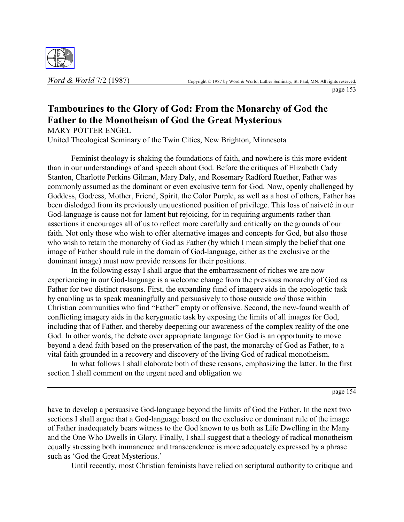

page 153

# **Tambourines to the Glory of God: From the Monarchy of God the Father to the Monotheism of God the Great Mysterious**

MARY POTTER ENGEL

United Theological Seminary of the Twin Cities, New Brighton, Minnesota

Feminist theology is shaking the foundations of faith, and nowhere is this more evident than in our understandings of and speech about God. Before the critiques of Elizabeth Cady Stanton, Charlotte Perkins Gilman, Mary Daly, and Rosemary Radford Ruether, Father was commonly assumed as the dominant or even exclusive term for God. Now, openly challenged by Goddess, God/ess, Mother, Friend, Spirit, the Color Purple, as well as a host of others, Father has been dislodged from its previously unquestioned position of privilege. This loss of naiveté in our God-language is cause not for lament but rejoicing, for in requiring arguments rather than assertions it encourages all of us to reflect more carefully and critically on the grounds of our faith. Not only those who wish to offer alternative images and concepts for God, but also those who wish to retain the monarchy of God as Father (by which I mean simply the belief that one image of Father should rule in the domain of God-language, either as the exclusive or the dominant image) must now provide reasons for their positions.

In the following essay I shall argue that the embarrassment of riches we are now experiencing in our God-language is a welcome change from the previous monarchy of God as Father for two distinct reasons. First, the expanding fund of imagery aids in the apologetic task by enabling us to speak meaningfully and persuasively to those outside *and* those within Christian communities who find "Father" empty or offensive. Second, the new-found wealth of conflicting imagery aids in the kerygmatic task by exposing the limits of all images for God, including that of Father, and thereby deepening our awareness of the complex reality of the one God. In other words, the debate over appropriate language for God is an opportunity to move beyond a dead faith based on the preservation of the past, the monarchy of God as Father, to a vital faith grounded in a recovery and discovery of the living God of radical monotheism.

In what follows I shall elaborate both of these reasons, emphasizing the latter. In the first section I shall comment on the urgent need and obligation we

page 154

have to develop a persuasive God-language beyond the limits of God the Father. In the next two sections I shall argue that a God-language based on the exclusive or dominant rule of the image of Father inadequately bears witness to the God known to us both as Life Dwelling in the Many and the One Who Dwells in Glory. Finally, I shall suggest that a theology of radical monotheism equally stressing both immanence and transcendence is more adequately expressed by a phrase such as 'God the Great Mysterious.'

Until recently, most Christian feminists have relied on scriptural authority to critique and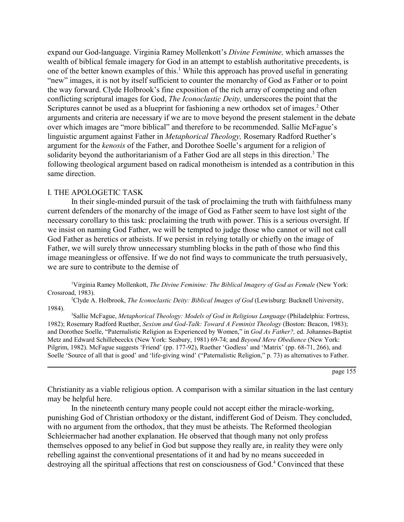expand our God-language. Virginia Ramey Mollenkott's *Divine Feminine*, which amasses the wealth of biblical female imagery for God in an attempt to establish authoritative precedents, is one of the better known examples of this.<sup>1</sup> While this approach has proved useful in generating ìnewî images, it is not by itself sufficient to counter the monarchy of God as Father or to point the way forward. Clyde Holbrook's fine exposition of the rich array of competing and often conflicting scriptural images for God, *The Iconoclastic Deity,* underscores the point that the Scriptures cannot be used as a blueprint for fashioning a new orthodox set of images.<sup>2</sup> Other arguments and criteria are necessary if we are to move beyond the present stalement in the debate over which images are "more biblical" and therefore to be recommended. Sallie McFague's linguistic argument against Father in *Metaphorical Theology*, Rosemary Radford Ruether's argument for the *kenosis* of the Father, and Dorothee Soelle's argument for a religion of solidarity beyond the authoritarianism of a Father God are all steps in this direction.<sup>3</sup> The following theological argument based on radical monotheism is intended as a contribution in this same direction.

#### I. THE APOLOGETIC TASK

In their single-minded pursuit of the task of proclaiming the truth with faithfulness many current defenders of the monarchy of the image of God as Father seem to have lost sight of the necessary corollary to this task: proclaiming the truth with power. This is a serious oversight. If we insist on naming God Father, we will be tempted to judge those who cannot or will not call God Father as heretics or atheists. If we persist in relying totally or chiefly on the image of Father, we will surely throw unnecessary stumbling blocks in the path of those who find this image meaningless or offensive. If we do not find ways to communicate the truth persuasively, we are sure to contribute to the demise of

<sup>1</sup>Virginia Ramey Mollenkott, *The Divine Feminine: The Biblical Imagery of God as Female* (New York: Crossroad, 1983).

2 Clyde A. Holbrook, *The Iconoclastic Deity: Biblical Images of God* (Lewisburg: Bucknell University, 1984).

3 Sallie McFague, *Metaphorical Theology: Models of God in Religious Language* (Philadelphia: Fortress, 1982); Rosemary Radford Ruether, *Sexism and God-Talk: Toward A Feminist Theology* (Boston: Beacon, 1983); and Dorothee Soelle, "Paternalistic Religion as Experienced by Women," in *God As Father?*, ed. Johannes-Baptist Metz and Edward Schillebeeckx (New York: Seabury, 1981) 69-74; and *Beyond Mere Obedience* (New York: Pilgrim, 1982). McFague suggests 'Friend' (pp. 177-92), Ruether 'Godless' and 'Matrix' (pp. 68-71, 266), and Soelle 'Source of all that is good' and 'life-giving wind' ("Paternalistic Religion," p. 73) as alternatives to Father.

page 155

Christianity as a viable religious option. A comparison with a similar situation in the last century may be helpful here.

In the nineteenth century many people could not accept either the miracle-working, punishing God of Christian orthodoxy or the distant, indifferent God of Deism. They concluded, with no argument from the orthodox, that they must be atheists. The Reformed theologian Schleiermacher had another explanation. He observed that though many not only profess themselves opposed to any belief in God but suppose they really are, in reality they were only rebelling against the conventional presentations of it and had by no means succeeded in destroying all the spiritual affections that rest on consciousness of God.<sup>4</sup> Convinced that these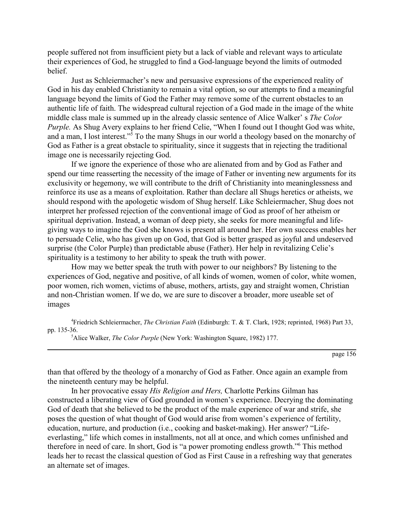people suffered not from insufficient piety but a lack of viable and relevant ways to articulate their experiences of God, he struggled to find a God-language beyond the limits of outmoded belief.

Just as Schleiermacher's new and persuasive expressions of the experienced reality of God in his day enabled Christianity to remain a vital option, so our attempts to find a meaningful language beyond the limits of God the Father may remove some of the current obstacles to an authentic life of faith. The widespread cultural rejection of a God made in the image of the white middle class male is summed up in the already classic sentence of Alice Walker' s *The Color Purple.* As Shug Avery explains to her friend Celie, "When I found out I thought God was white, and a man, I lost interest."<sup>5</sup> To the many Shugs in our world a theology based on the monarchy of God as Father is a great obstacle to spirituality, since it suggests that in rejecting the traditional image one is necessarily rejecting God.

If we ignore the experience of those who are alienated from and by God as Father and spend our time reasserting the necessity of the image of Father or inventing new arguments for its exclusivity or hegemony, we will contribute to the drift of Christianity into meaninglessness and reinforce its use as a means of exploitation. Rather than declare all Shugs heretics or atheists, we should respond with the apologetic wisdom of Shug herself. Like Schleiermacher, Shug does not interpret her professed rejection of the conventional image of God as proof of her atheism or spiritual deprivation. Instead, a woman of deep piety, she seeks for more meaningful and lifegiving ways to imagine the God she knows is present all around her. Her own success enables her to persuade Celie, who has given up on God, that God is better grasped as joyful and undeserved surprise (the Color Purple) than predictable abuse (Father). Her help in revitalizing Celie's spirituality is a testimony to her ability to speak the truth with power.

How may we better speak the truth with power to our neighbors? By listening to the experiences of God, negative and positive, of all kinds of women, women of color, white women, poor women, rich women, victims of abuse, mothers, artists, gay and straight women, Christian and non-Christian women. If we do, we are sure to discover a broader, more useable set of images

4 Friedrich Schleiermacher, *The Christian Faith* (Edinburgh: T. & T. Clark, 1928; reprinted, 1968) Part 33, pp. 135-36.

5 Alice Walker, *The Color Purple* (New York: Washington Square, 1982) 177.

page 156

than that offered by the theology of a monarchy of God as Father. Once again an example from the nineteenth century may be helpful.

In her provocative essay *His Religion and Hers,* Charlotte Perkins Gilman has constructed a liberating view of God grounded in women's experience. Decrying the dominating God of death that she believed to be the product of the male experience of war and strife, she poses the question of what thought of God would arise from women's experience of fertility, education, nurture, and production (i.e., cooking and basket-making). Her answer? "Lifeeverlasting," life which comes in installments, not all at once, and which comes unfinished and therefore in need of care. In short, God is "a power promoting endless growth." This method leads her to recast the classical question of God as First Cause in a refreshing way that generates an alternate set of images.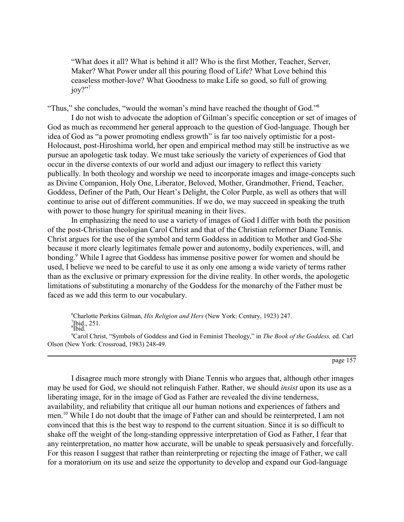ìWhat does it all? What is behind it all? Who is the first Mother, Teacher, Server, Maker? What Power under all this pouring flood of Life? What Love behind this ceaseless mother-love? What Goodness to make Life so good, so full of growing joy?"?

"Thus," she concludes, "would the woman's mind have reached the thought of God."<sup>8</sup>

I do not wish to advocate the adoption of Gilman's specific conception or set of images of God as much as recommend her general approach to the question of God-language. Though her idea of God as "a power promoting endless growth" is far too naively optimistic for a post-Holocaust, post-Hiroshima world, her open and empirical method may still be instructive as we pursue an apologetic task today. We must take seriously the variety of experiences of God that occur in the diverse contexts of our world and adjust our imagery to reflect this variety publically. In both theology and worship we need to incorporate images and image-concepts such as Divine Companion, Holy One, Liberator, Beloved, Mother, Grandmother, Friend, Teacher, Goddess, Definer of the Path, Our Heart's Delight, the Color Purple, as well as others that will continue to arise out of different communities. If we do, we may succeed in speaking the truth with power to those hungry for spiritual meaning in their lives.

In emphasizing the need to use a variety of images of God I differ with both the position of the post-Christian theologian Carol Christ and that of the Christian reformer Diane Tennis. Christ argues for the use of the symbol and term Goddess in addition to Mother and God-She because it more clearly legitimates female power and autonomy, bodily experiences, will, and bonding.<sup>9</sup> While I agree that Goddess has immense positive power for women and should be used, I believe we need to be careful to use it as only one among a wide variety of terms rather than as the exclusive or primary expression for the divine reality. In other words, the apologetic limitations of substituting a monarchy of the Goddess for the monarchy of the Father must be faced as we add this term to our vocabulary.

6 Charlotte Perkins Gilman, *His Religion and Hers* (New York: Century, 1923) 247.  $\frac{7}{8}$ Ibid., 251.

<sup>9</sup>Carol Christ, "Symbols of Goddess and God in Feminist Theology," in *The Book of the Goddess, e*d. Carl Olson (New York: Crossroad, 1983) 248-49.

page 157

I disagree much more strongly with Diane Tennis who argues that, although other images may be used for God, we should not relinquish Father. Rather, we should *insist* upon its use as a liberating image, for in the image of God as Father are revealed the divine tenderness, availability, and reliability that critique all our human notions and experiences of fathers and men.<sup>10</sup> While I do not doubt that the image of Father can and should be reinterpreted, I am not convinced that this is the best way to respond to the current situation. Since it is so difficult to shake off the weight of the long-standing oppressive interpretation of God as Father, I fear that any reinterpretation, no matter how accurate, will be unable to speak persuasively and forcefully. For this reason I suggest that rather than reinterpreting or rejecting the image of Father, we call for a moratorium on its use and seize the opportunity to develop and expand our God-language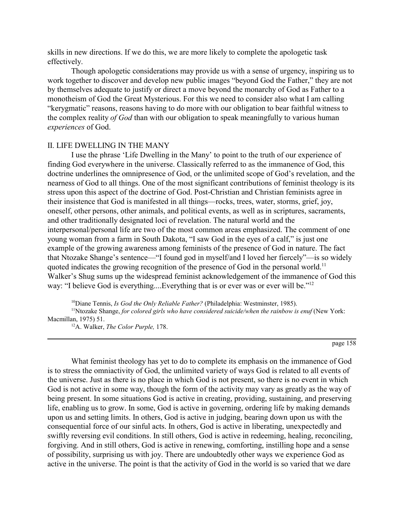skills in new directions. If we do this, we are more likely to complete the apologetic task effectively.

Though apologetic considerations may provide us with a sense of urgency, inspiring us to work together to discover and develop new public images "beyond God the Father," they are not by themselves adequate to justify or direct a move beyond the monarchy of God as Father to a monotheism of God the Great Mysterious. For this we need to consider also what I am calling "kerygmatic" reasons, reasons having to do more with our obligation to bear faithful witness to the complex reality *of God* than with our obligation to speak meaningfully to various human *experiences* of God.

### II. LIFE DWELLING IN THE MANY

I use the phrase 'Life Dwelling in the Many' to point to the truth of our experience of finding God everywhere in the universe. Classically referred to as the immanence of God, this doctrine underlines the omnipresence of God, or the unlimited scope of God's revelation, and the nearness of God to all things. One of the most significant contributions of feminist theology is its stress upon this aspect of the doctrine of God. Post-Christian and Christian feminists agree in their insistence that God is manifested in all things—rocks, trees, water, storms, grief, joy, oneself, other persons, other animals, and political events, as well as in scriptures, sacraments, and other traditionally designated loci of revelation. The natural world and the interpersonal/personal life are two of the most common areas emphasized. The comment of one young woman from a farm in South Dakota, "I saw God in the eyes of a calf," is just one example of the growing awareness among feminists of the presence of God in nature. The fact that Ntozake Shange's sentence—"I found god in myself/and I loved her fiercely"—is so widely quoted indicates the growing recognition of the presence of God in the personal world.<sup>11</sup> Walker's Shug sums up the widespread feminist acknowledgement of the immanence of God this way: "I believe God is everything....Everything that is or ever was or ever will be." $12$ 

10Diane Tennis, *Is God the Only Reliable Father?* (Philadelphia: Westminster, 1985). <sup>11</sup>Ntozake Shange, *for colored girls who have considered suicide/when the rainbow is enuf (New York:* Macmillan, 1975) 51.

12A. Walker, *The Color Purple,* 178.

page 158

What feminist theology has yet to do to complete its emphasis on the immanence of God is to stress the omniactivity of God, the unlimited variety of ways God is related to all events of the universe. Just as there is no place in which God is not present, so there is no event in which God is not active in some way, though the form of the activity may vary as greatly as the way of being present. In some situations God is active in creating, providing, sustaining, and preserving life, enabling us to grow. In some, God is active in governing, ordering life by making demands upon us and setting limits. In others, God is active in judging, bearing down upon us with the consequential force of our sinful acts. In others, God is active in liberating, unexpectedly and swiftly reversing evil conditions. In still others, God is active in redeeming, healing, reconciling, forgiving. And in still others, God is active in renewing, comforting, instilling hope and a sense of possibility, surprising us with joy. There are undoubtedly other ways we experience God as active in the universe. The point is that the activity of God in the world is so varied that we dare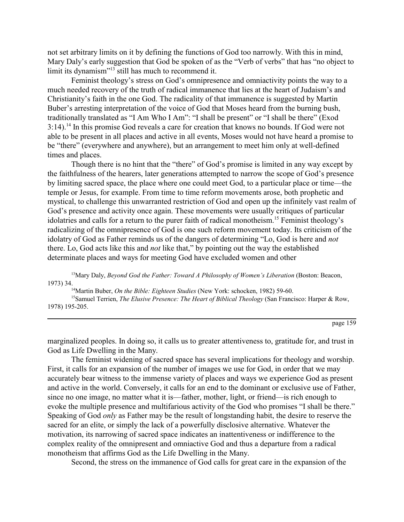not set arbitrary limits on it by defining the functions of God too narrowly. With this in mind, Mary Daly's early suggestion that God be spoken of as the "Verb of verbs" that has "no object to limit its dynamism $^{13}$  still has much to recommend it.

Feminist theology's stress on God's omnipresence and omniactivity points the way to a much needed recovery of the truth of radical immanence that lies at the heart of Judaism's and Christianity's faith in the one God. The radicality of that immanence is suggested by Martin Buber's arresting interpretation of the voice of God that Moses heard from the burning bush, traditionally translated as "I Am Who I Am": "I shall be present" or "I shall be there" (Exod 3:14).14 In this promise God reveals a care for creation that knows no bounds. If God were not able to be present in all places and active in all events, Moses would not have heard a promise to be "there" (everywhere and anywhere), but an arrangement to meet him only at well-defined times and places.

Though there is no hint that the "there" of God's promise is limited in any way except by the faithfulness of the hearers, later generations attempted to narrow the scope of God's presence by limiting sacred space, the place where one could meet God, to a particular place or time—the temple or Jesus, for example. From time to time reform movements arose, both prophetic and mystical, to challenge this unwarranted restriction of God and open up the infinitely vast realm of God's presence and activity once again. These movements were usually critiques of particular idolatries and calls for a return to the purer faith of radical monotheism.<sup>15</sup> Feminist theology's radicalizing of the omnipresence of God is one such reform movement today. Its criticism of the idolatry of God as Father reminds us of the dangers of determining "Lo, God is here and *not* there. Lo, God acts like this and *not* like that," by pointing out the way the established determinate places and ways for meeting God have excluded women and other

<sup>13</sup>Mary Daly, *Beyond God the Father: Toward A Philosophy of Women's Liberation* (Boston: Beacon, 1973) 34.14Martin Buber, *On the Bible: Eighteen Studies* (New York: schocken, 1982) 59-60.

15Samuel Terrien, *The Elusive Presence: The Heart of Biblical Theology* (San Francisco: Harper & Row, 1978) 195-205.

page 159

marginalized peoples. In doing so, it calls us to greater attentiveness to, gratitude for, and trust in God as Life Dwelling in the Many.

The feminist widening of sacred space has several implications for theology and worship. First, it calls for an expansion of the number of images we use for God, in order that we may accurately bear witness to the immense variety of places and ways we experience God as present and active in the world. Conversely, it calls for an end to the dominant or exclusive use of Father, since no one image, no matter what it is—father, mother, light, or friend—is rich enough to evoke the multiple presence and multifarious activity of the God who promises "I shall be there." Speaking of God *only* as Father may be the result of longstanding habit, the desire to reserve the sacred for an elite, or simply the lack of a powerfully disclosive alternative. Whatever the motivation, its narrowing of sacred space indicates an inattentiveness or indifference to the complex reality of the omnipresent and omniactive God and thus a departure from a radical monotheism that affirms God as the Life Dwelling in the Many.

Second, the stress on the immanence of God calls for great care in the expansion of the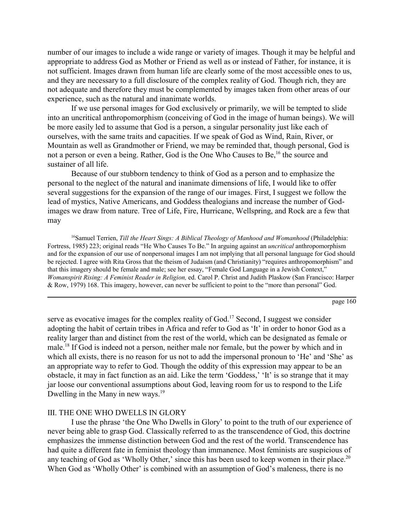number of our images to include a wide range or variety of images. Though it may be helpful and appropriate to address God as Mother or Friend as well as or instead of Father, for instance, it is not sufficient. Images drawn from human life are clearly some of the most accessible ones to us, and they are necessary to a full disclosure of the complex reality of God. Though rich, they are not adequate and therefore they must be complemented by images taken from other areas of our experience, such as the natural and inanimate worlds.

If we use personal images for God exclusively or primarily, we will be tempted to slide into an uncritical anthropomorphism (conceiving of God in the image of human beings). We will be more easily led to assume that God is a person, a singular personality just like each of ourselves, with the same traits and capacities. If we speak of God as Wind, Rain, River, or Mountain as well as Grandmother or Friend, we may be reminded that, though personal, God is not a person or even a being. Rather, God is the One Who Causes to Be,<sup>16</sup> the source and sustainer of all life.

Because of our stubborn tendency to think of God as a person and to emphasize the personal to the neglect of the natural and inanimate dimensions of life, I would like to offer several suggestions for the expansion of the range of our images. First, I suggest we follow the lead of mystics, Native Americans, and Goddess thealogians and increase the number of Godimages we draw from nature. Tree of Life, Fire, Hurricane, Wellspring, and Rock are a few that may

16Samuel Terrien, *Till the Heart Sings: A Biblical Theology of Manhood and Womanhood* (Philadelphia: Fortress, 1985) 223; original reads "He Who Causes To Be." In arguing against an *uncritical* anthropomorphism and for the expansion of our use of nonpersonal images I am not implying that all personal language for God should be rejected. I agree with Rita Gross that the theism of Judaism (and Christianity) "requires anthropomorphism" and that this imagery should be female and male; see her essay, "Female God Language in a Jewish Context," *Womanspirit Rising: A Feminist Reader in Religion,* ed. Carol P. Christ and Judith Plaskow (San Francisco: Harper & Row, 1979) 168. This imagery, however, can never be sufficient to point to the "more than personal" God.

page 160

serve as evocative images for the complex reality of God.<sup>17</sup> Second, I suggest we consider adopting the habit of certain tribes in Africa and refer to God as 'It' in order to honor God as a reality larger than and distinct from the rest of the world, which can be designated as female or male.18 If God is indeed not a person, neither male nor female, but the power by which and in which all exists, there is no reason for us not to add the impersonal pronoun to 'He' and 'She' as an appropriate way to refer to God. Though the oddity of this expression may appear to be an obstacle, it may in fact function as an aid. Like the term 'Goddess,' 'It' is so strange that it may jar loose our conventional assumptions about God, leaving room for us to respond to the Life Dwelling in the Many in new ways.<sup>19</sup>

### III. THE ONE WHO DWELLS IN GLORY

I use the phrase 'the One Who Dwells in Glory' to point to the truth of our experience of never being able to grasp God. Classically referred to as the transcendence of God, this doctrine emphasizes the immense distinction between God and the rest of the world. Transcendence has had quite a different fate in feminist theology than immanence. Most feminists are suspicious of any teaching of God as 'Wholly Other,' since this has been used to keep women in their place.<sup>20</sup> When God as 'Wholly Other' is combined with an assumption of God's maleness, there is no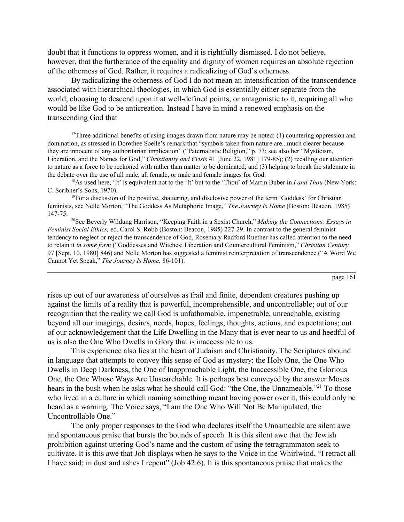doubt that it functions to oppress women, and it is rightfully dismissed. I do not believe, however, that the furtherance of the equality and dignity of women requires an absolute rejection of the otherness of God. Rather, it requires a radicalizing of God's otherness.

By radicalizing the otherness of God I do not mean an intensification of the transcendence associated with hierarchical theologies, in which God is essentially either separate from the world, choosing to descend upon it at well-defined points, or antagonistic to it, requiring all who would be like God to be anticreation. Instead I have in mind a renewed emphasis on the transcending God that

<sup>17</sup>Three additional benefits of using images drawn from nature may be noted: (1) countering oppression and domination, as stressed in Dorothee Soelle's remark that "symbols taken from nature are...much clearer because they are innocent of any authoritarian implication" ("Paternalistic Religion," p. 73; see also her "Mysticism, Liberation, and the Names for God," *Christianity and Crisis* 41 [June 22, 1981] 179-85); (2) recalling our attention to nature as a force to be reckoned with rather than matter to be dominated; and (3) helping to break the stalemate in the debate over the use of all male, all female, or male and female images for God.

<sup>18</sup>As used here, 'It' is equivalent not to the 'It' but to the 'Thou' of Martin Buber in *I and Thou* (New York: C. Scribner's Sons, 1970).

 $19$ For a discussion of the positive, shattering, and disclosive power of the term 'Goddess' for Christian feminists, see Nelle Morton, "The Goddess As Metaphoric Image," The Journey Is Home (Boston: Beacon, 1985) 147-75.

<sup>20</sup>See Beverly Wildung Harrison, "Keeping Faith in a Sexist Church," *Making the Connections: Essays in Feminist Social Ethics,* ed. Carol S. Robb (Boston: Beacon, 1985) 227-29. In contrast to the general feminist tendency to neglect or reject the transcendence of God, Rosemary Radford Ruether has called attention to the need to retain it *in some form* ("Goddesses and Witches: Liberation and Countercultural Feminism," *Christian Century* 97 [Sept. 10, 1980] 846) and Nelle Morton has suggested a feminist reinterpretation of transcendence ("A Word We Cannot Yet Speak," *The Journey Is Home,* 86-101).

page 161

rises up out of our awareness of ourselves as frail and finite, dependent creatures pushing up against the limits of a reality that is powerful, incomprehensible, and uncontrollable; out of our recognition that the reality we call God is unfathomable, impenetrable, unreachable, existing beyond all our imagings, desires, needs, hopes, feelings, thoughts, actions, and expectations; out of our acknowledgement that the Life Dwelling in the Many that is ever near to us and heedful of us is also the One Who Dwells in Glory that is inaccessible to us.

This experience also lies at the heart of Judaism and Christianity. The Scriptures abound in language that attempts to convey this sense of God as mystery: the Holy One, the One Who Dwells in Deep Darkness, the One of Inapproachable Light, the Inaccessible One, the Glorious One, the One Whose Ways Are Unsearchable. It is perhaps best conveyed by the answer Moses hears in the bush when he asks what he should call God: "the One, the Unnameable."<sup>21</sup> To those who lived in a culture in which naming something meant having power over it, this could only be heard as a warning. The Voice says, "I am the One Who Will Not Be Manipulated, the Uncontrollable One."

The only proper responses to the God who declares itself the Unnameable are silent awe and spontaneous praise that bursts the bounds of speech. It is this silent awe that the Jewish prohibition against uttering God's name and the custom of using the tetragrammaton seek to cultivate. It is this awe that Job displays when he says to the Voice in the Whirlwind, "I retract all I have said; in dust and ashes I repent" (Job 42:6). It is this spontaneous praise that makes the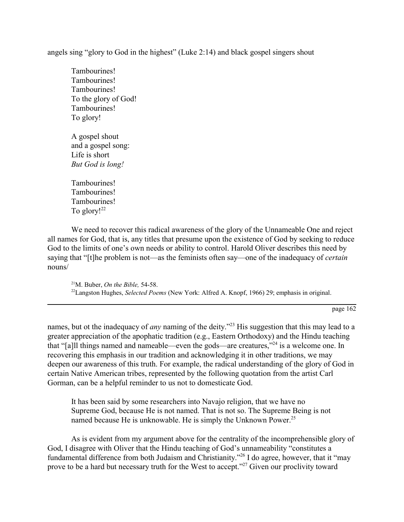angels sing "glory to God in the highest" (Luke 2:14) and black gospel singers shout

Tambourines! Tambourines! Tambourines! To the glory of God! Tambourines! To glory!

A gospel shout and a gospel song: Life is short *But God is long!*

Tambourines! Tambourines! Tambourines! To glory! $^{22}$ 

We need to recover this radical awareness of the glory of the Unnameable One and reject all names for God, that is, any titles that presume upon the existence of God by seeking to reduce God to the limits of one's own needs or ability to control. Harold Oliver describes this need by saying that "[t]he problem is not—as the feminists often say—one of the inadequacy of *certain* nouns/

21M. Buber, *On the Bible,* 54-58. 22Langston Hughes, *Selected Poems* (New York: Alfred A. Knopf, 1966) 29; emphasis in original.

page 162

names, but ot the inadequacy of *any* naming of the deity.<sup>223</sup> His suggestion that this may lead to a greater appreciation of the apophatic tradition (e.g., Eastern Orthodoxy) and the Hindu teaching that "[a]ll things named and nameable—even the gods—are creatures,"<sup>24</sup> is a welcome one. In recovering this emphasis in our tradition and acknowledging it in other traditions, we may deepen our awareness of this truth. For example, the radical understanding of the glory of God in certain Native American tribes, represented by the following quotation from the artist Carl Gorman, can be a helpful reminder to us not to domesticate God.

It has been said by some researchers into Navajo religion, that we have no Supreme God, because He is not named. That is not so. The Supreme Being is not named because He is unknowable. He is simply the Unknown Power.<sup>25</sup>

As is evident from my argument above for the centrality of the incomprehensible glory of God, I disagree with Oliver that the Hindu teaching of God's unnameability "constitutes a fundamental difference from both Judaism and Christianity.<sup>726</sup> I do agree, however, that it "may prove to be a hard but necessary truth for the West to accept."<sup>27</sup> Given our proclivity toward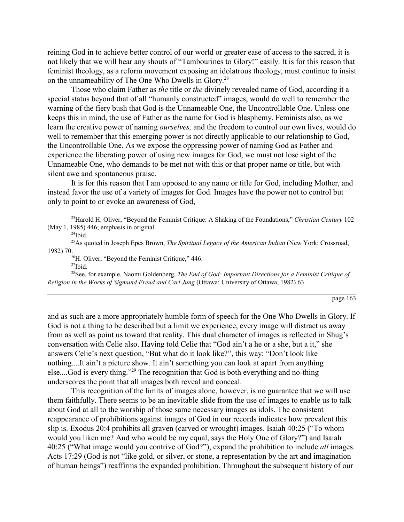reining God in to achieve better control of our world or greater ease of access to the sacred, it is not likely that we will hear any shouts of "Tambourines to Glory!" easily. It is for this reason that feminist theology, as a reform movement exposing an idolatrous theology, must continue to insist on the unnameability of The One Who Dwells in Glory.28

Those who claim Father as *the* title or *the* divinely revealed name of God, according it a special status beyond that of all "humanly constructed" images, would do well to remember the warning of the fiery bush that God is the Unnameable One, the Uncontrollable One. Unless one keeps this in mind, the use of Father as the name for God is blasphemy. Feminists also, as we learn the creative power of naming *ourselves,* and the freedom to control our own lives, would do well to remember that this emerging power is not directly applicable to our relationship to God, the Uncontrollable One. As we expose the oppressing power of naming God as Father and experience the liberating power of using new images for God, we must not lose sight of the Unnameable One, who demands to be met not with this or that proper name or title, but with silent awe and spontaneous praise.

It is for this reason that I am opposed to any name or title for God, including Mother, and instead favor the use of a variety of images for God. Images have the power not to control but only to point to or evoke an awareness of God,

<sup>23</sup> Harold H. Oliver, "Beyond the Feminist Critique: A Shaking of the Foundations," *Christian Century* 102 (May 1, 1985) 446; emphasis in original.

 $24$ Ibid.

25As quoted in Joseph Epes Brown, *The Spiritual Legacy of the American Indian* (New York: Crossroad, 1982) 70.<br><sup>26</sup>H. Oliver, "Beyond the Feminist Critique," 446.

 $27$ Ibid.

28See, for example, Naomi Goldenberg, *The End of God: Important Directions for a Feminist Critique of Religion in the Works of Sigmund Freud and Carl Jung* (Ottawa: University of Ottawa, 1982) 63.

page 163

and as such are a more appropriately humble form of speech for the One Who Dwells in Glory. If God is not a thing to be described but a limit we experience, every image will distract us away from as well as point us toward that reality. This dual character of images is reflected in Shug's conversation with Celie also. Having told Celie that "God ain't a he or a she, but a it," she answers Celie's next question, "But what do it look like?", this way: "Don't look like nothing....It ain't a picture show. It ain't something you can look at apart from anything else....God is every thing.<sup> $229$ </sup> The recognition that God is both everything and no-thing underscores the point that all images both reveal and conceal.

This recognition of the limits of images alone, however, is no guarantee that we will use them faithfully. There seems to be an inevitable slide from the use of images to enable us to talk about God at all to the worship of those same necessary images as idols. The consistent reappearance of prohibitions against images of God in our records indicates how prevalent this slip is. Exodus 20:4 prohibits all graven (carved or wrought) images. Isaiah  $40:25$  ( $\degree$ To whom would you liken me? And who would be my equal, says the Holy One of Glory?" and Isaiah 40:25 (ìWhat image would you contrive of God?î), expand the prohibition to include *all* images. Acts 17:29 (God is not "like gold, or silver, or stone, a representation by the art and imagination of human beingsî) reaffirms the expanded prohibition. Throughout the subsequent history of our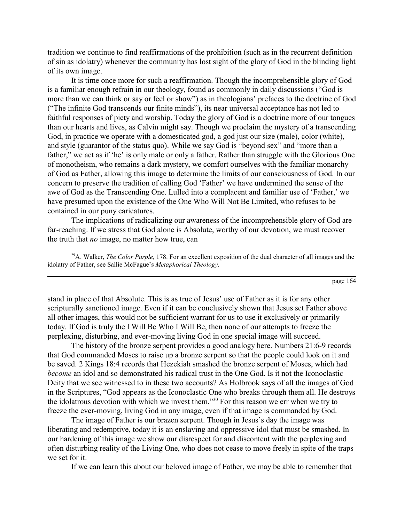tradition we continue to find reaffirmations of the prohibition (such as in the recurrent definition of sin as idolatry) whenever the community has lost sight of the glory of God in the blinding light of its own image.

It is time once more for such a reaffirmation. Though the incomprehensible glory of God is a familiar enough refrain in our theology, found as commonly in daily discussions ("God is more than we can think or say or feel or show") as in theologians' prefaces to the doctrine of God ("The infinite God transcends our finite minds"), its near universal acceptance has not led to faithful responses of piety and worship. Today the glory of God is a doctrine more of our tongues than our hearts and lives, as Calvin might say. Though we proclaim the mystery of a transcending God, in practice we operate with a domesticated god, a god just our size (male), color (white), and style (guarantor of the status quo). While we say God is "beyond sex" and "more than a father," we act as if 'he' is only male or only a father. Rather than struggle with the Glorious One of monotheism, who remains a dark mystery, we comfort ourselves with the familiar monarchy of God as Father, allowing this image to determine the limits of our consciousness of God. In our concern to preserve the tradition of calling God 'Father' we have undermined the sense of the awe of God as the Transcending One. Lulled into a complacent and familiar use of 'Father,' we have presumed upon the existence of the One Who Will Not Be Limited, who refuses to be contained in our puny caricatures.

The implications of radicalizing our awareness of the incomprehensible glory of God are far-reaching. If we stress that God alone is Absolute, worthy of our devotion, we must recover the truth that *no* image, no matter how true, can

29A. Walker, *The Color Purple,* 178. For an excellent exposition of the dual character of all images and the idolatry of Father, see Sallie McFague's *Metaphorical Theology*.

page 164

stand in place of that Absolute. This is as true of Jesus' use of Father as it is for any other scripturally sanctioned image. Even if it can be conclusively shown that Jesus set Father above all other images, this would not be sufficient warrant for us to use it exclusively or primarily today. If God is truly the I Will Be Who I Will Be, then none of our attempts to freeze the perplexing, disturbing, and ever-moving living God in one special image will succeed.

The history of the bronze serpent provides a good analogy here. Numbers 21:6-9 records that God commanded Moses to raise up a bronze serpent so that the people could look on it and be saved. 2 Kings 18:4 records that Hezekiah smashed the bronze serpent of Moses, which had *become* an idol and so demonstrated his radical trust in the One God. Is it not the Iconoclastic Deity that we see witnessed to in these two accounts? As Holbrook says of all the images of God in the Scriptures, "God appears as the Iconoclastic One who breaks through them all. He destroys the idolatrous devotion with which we invest them.<sup>330</sup> For this reason we err when we try to freeze the ever-moving, living God in any image, even if that image is commanded by God.

The image of Father is our brazen serpent. Though in Jesus's day the image was liberating and redemptive, today it is an enslaving and oppressive idol that must be smashed. In our hardening of this image we show our disrespect for and discontent with the perplexing and often disturbing reality of the Living One, who does not cease to move freely in spite of the traps we set for it.

If we can learn this about our beloved image of Father, we may be able to remember that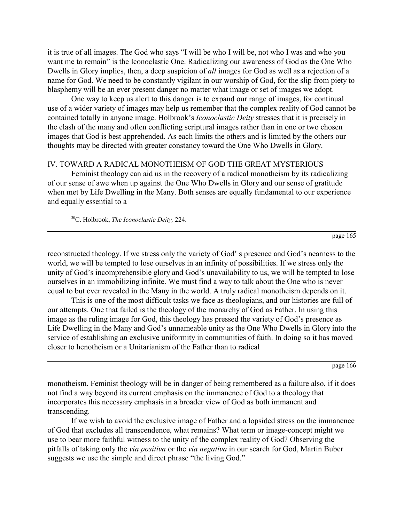it is true of all images. The God who says "I will be who I will be, not who I was and who you want me to remain" is the Iconoclastic One. Radicalizing our awareness of God as the One Who Dwells in Glory implies, then, a deep suspicion of *all* images for God as well as a rejection of a name for God. We need to be constantly vigilant in our worship of God, for the slip from piety to blasphemy will be an ever present danger no matter what image or set of images we adopt.

One way to keep us alert to this danger is to expand our range of images, for continual use of a wider variety of images may help us remember that the complex reality of God cannot be contained totally in anyone image. Holbrook's *Iconoclastic Deity* stresses that it is precisely in the clash of the many and often conflicting scriptural images rather than in one or two chosen images that God is best apprehended. As each limits the others and is limited by the others our thoughts may be directed with greater constancy toward the One Who Dwells in Glory.

## IV. TOWARD A RADICAL MONOTHEISM OF GOD THE GREAT MYSTERIOUS

Feminist theology can aid us in the recovery of a radical monotheism by its radicalizing of our sense of awe when up against the One Who Dwells in Glory and our sense of gratitude when met by Life Dwelling in the Many. Both senses are equally fundamental to our experience and equally essential to a

30C. Holbrook, *The Iconoclastic Deity,* 224.

page 165

reconstructed theology. If we stress only the variety of God's presence and God's nearness to the world, we will be tempted to lose ourselves in an infinity of possibilities. If we stress only the unity of God's incomprehensible glory and God's unavailability to us, we will be tempted to lose ourselves in an immobilizing infinite. We must find a way to talk about the One who is never equal to but ever revealed in the Many in the world. A truly radical monotheism depends on it.

This is one of the most difficult tasks we face as theologians, and our histories are full of our attempts. One that failed is the theology of the monarchy of God as Father. In using this image as the ruling image for God, this theology has pressed the variety of God's presence as Life Dwelling in the Many and God's unnameable unity as the One Who Dwells in Glory into the service of establishing an exclusive uniformity in communities of faith. In doing so it has moved closer to henotheism or a Unitarianism of the Father than to radical

page 166

monotheism. Feminist theology will be in danger of being remembered as a failure also, if it does not find a way beyond its current emphasis on the immanence of God to a theology that incorporates this necessary emphasis in a broader view of God as both immanent and transcending.

If we wish to avoid the exclusive image of Father and a lopsided stress on the immanence of God that excludes all transcendence, what remains? What term or image-concept might we use to bear more faithful witness to the unity of the complex reality of God? Observing the pitfalls of taking only the *via positiva* or the *via negativa* in our search for God, Martin Buber suggests we use the simple and direct phrase "the living God."